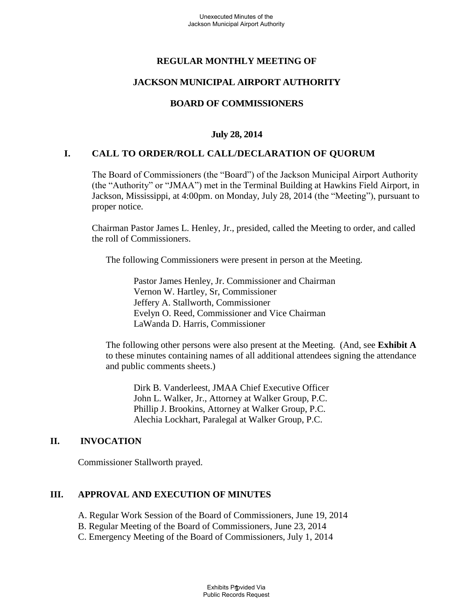# **REGULAR MONTHLY MEETING OF**

### **JACKSON MUNICIPAL AIRPORT AUTHORITY**

# **BOARD OF COMMISSIONERS**

### **July 28, 2014**

### **I. CALL TO ORDER/ROLL CALL/DECLARATION OF QUORUM**

The Board of Commissioners (the "Board") of the Jackson Municipal Airport Authority (the "Authority" or "JMAA") met in the Terminal Building at Hawkins Field Airport, in Jackson, Mississippi, at 4:00pm. on Monday, July 28, 2014 (the "Meeting"), pursuant to proper notice.

Chairman Pastor James L. Henley, Jr., presided, called the Meeting to order, and called the roll of Commissioners.

The following Commissioners were present in person at the Meeting.

Pastor James Henley, Jr. Commissioner and Chairman Vernon W. Hartley, Sr, Commissioner Jeffery A. Stallworth, Commissioner Evelyn O. Reed, Commissioner and Vice Chairman LaWanda D. Harris, Commissioner

 The following other persons were also present at the Meeting. (And, see **Exhibit A**  to these minutes containing names of all additional attendees signing the attendance and public comments sheets.)

Dirk B. Vanderleest, JMAA Chief Executive Officer John L. Walker, Jr., Attorney at Walker Group, P.C. Phillip J. Brookins, Attorney at Walker Group, P.C. Alechia Lockhart, Paralegal at Walker Group, P.C.

### **II. INVOCATION**

Commissioner Stallworth prayed.

### **III. APPROVAL AND EXECUTION OF MINUTES**

- A. Regular Work Session of the Board of Commissioners, June 19, 2014
- B. Regular Meeting of the Board of Commissioners, June 23, 2014
- C. Emergency Meeting of the Board of Commissioners, July 1, 2014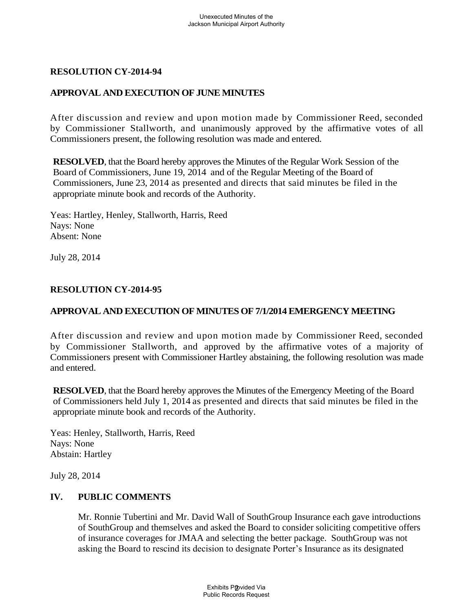# **RESOLUTION CY-2014-94**

# **APPROVAL AND EXECUTION OF JUNE MINUTES**

After discussion and review and upon motion made by Commissioner Reed, seconded by Commissioner Stallworth, and unanimously approved by the affirmative votes of all Commissioners present, the following resolution was made and entered.

**RESOLVED**, that the Board hereby approves the Minutes of the Regular Work Session of the Board of Commissioners, June 19, 2014 and of the Regular Meeting of the Board of Commissioners, June 23, 2014 as presented and directs that said minutes be filed in the appropriate minute book and records of the Authority.

Yeas: Hartley, Henley, Stallworth, Harris, Reed Nays: None Absent: None

July 28, 2014

### **RESOLUTION CY-2014-95**

### **APPROVAL AND EXECUTION OF MINUTES OF 7/1/2014 EMERGENCY MEETING**

After discussion and review and upon motion made by Commissioner Reed, seconded by Commissioner Stallworth, and approved by the affirmative votes of a majority of Commissioners present with Commissioner Hartley abstaining, the following resolution was made and entered.

**RESOLVED**, that the Board hereby approves the Minutes of the Emergency Meeting of the Board of Commissioners held July 1, 2014 as presented and directs that said minutes be filed in the appropriate minute book and records of the Authority.

Yeas: Henley, Stallworth, Harris, Reed Nays: None Abstain: Hartley

July 28, 2014

### **IV. PUBLIC COMMENTS**

Mr. Ronnie Tubertini and Mr. David Wall of SouthGroup Insurance each gave introductions of SouthGroup and themselves and asked the Board to consider soliciting competitive offers of insurance coverages for JMAA and selecting the better package. SouthGroup was not asking the Board to rescind its decision to designate Porter's Insurance as its designated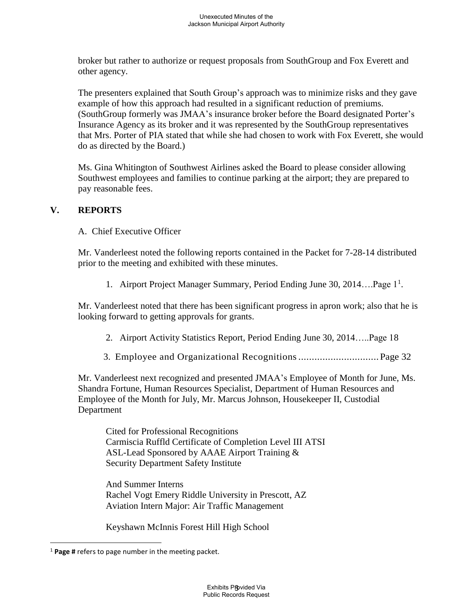broker but rather to authorize or request proposals from SouthGroup and Fox Everett and other agency.

The presenters explained that South Group's approach was to minimize risks and they gave example of how this approach had resulted in a significant reduction of premiums. (SouthGroup formerly was JMAA's insurance broker before the Board designated Porter's Insurance Agency as its broker and it was represented by the SouthGroup representatives that Mrs. Porter of PIA stated that while she had chosen to work with Fox Everett, she would do as directed by the Board.)

Ms. Gina Whitington of Southwest Airlines asked the Board to please consider allowing Southwest employees and families to continue parking at the airport; they are prepared to pay reasonable fees.

### **V. REPORTS**

A. Chief Executive Officer

Mr. Vanderleest noted the following reports contained in the Packet for 7-28-14 distributed prior to the meeting and exhibited with these minutes.

1. Airport Project Manager Summary, Period Ending June 30, 2014....Page 1<sup>1</sup>.

Mr. Vanderleest noted that there has been significant progress in apron work; also that he is looking forward to getting approvals for grants.

- 2. Airport Activity Statistics Report, Period Ending June 30, 2014…..Page 18
- 3. Employee and Organizational Recognitions .............................. Page 32

Mr. Vanderleest next recognized and presented JMAA's Employee of Month for June, Ms. Shandra Fortune, Human Resources Specialist, Department of Human Resources and Employee of the Month for July, Mr. Marcus Johnson, Housekeeper II, Custodial Department

Cited for Professional Recognitions Carmiscia Ruffld Certificate of Completion Level III ATSI ASL-Lead Sponsored by AAAE Airport Training & Security Department Safety Institute

And Summer Interns Rachel Vogt Emery Riddle University in Prescott, AZ Aviation Intern Major: Air Traffic Management

Keyshawn McInnis Forest Hill High School

 $\overline{a}$ 

<sup>1</sup> **Page #** refers to page number in the meeting packet.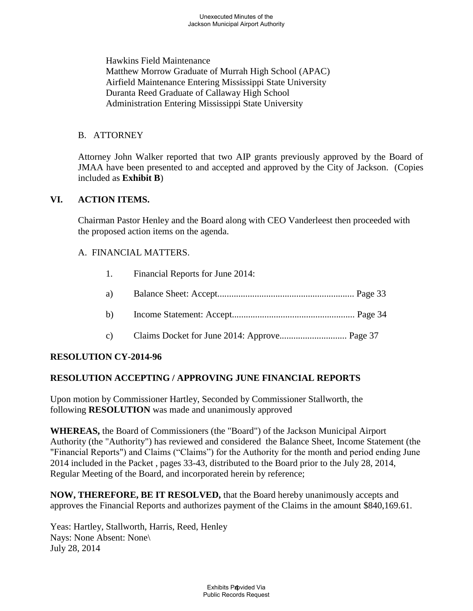Hawkins Field Maintenance Matthew Morrow Graduate of Murrah High School (APAC) Airfield Maintenance Entering Mississippi State University Duranta Reed Graduate of Callaway High School Administration Entering Mississippi State University

#### B. ATTORNEY

Attorney John Walker reported that two AIP grants previously approved by the Board of JMAA have been presented to and accepted and approved by the City of Jackson. (Copies included as **Exhibit B**)

#### **VI. ACTION ITEMS.**

Chairman Pastor Henley and the Board along with CEO Vanderleest then proceeded with the proposed action items on the agenda.

#### A. FINANCIAL MATTERS.

- 1. Financial Reports for June 2014:
- a) Balance Sheet: Accept........................................................... Page 33
- b) Income Statement: Accept..................................................... Page 34
- c) Claims Docket for June 2014: Approve............................. Page 37

### **RESOLUTION CY-2014-96**

### **RESOLUTION ACCEPTING / APPROVING JUNE FINANCIAL REPORTS**

Upon motion by Commissioner Hartley, Seconded by Commissioner Stallworth, the following **RESOLUTION** was made and unanimously approved

**WHEREAS,** the Board of Commissioners (the "Board") of the Jackson Municipal Airport Authority (the "Authority") has reviewed and considered the Balance Sheet, Income Statement (the "Financial Reports") and Claims ("Claims") for the Authority for the month and period ending June 2014 included in the Packet , pages 33-43, distributed to the Board prior to the July 28, 2014, Regular Meeting of the Board, and incorporated herein by reference;

**NOW, THEREFORE, BE IT RESOLVED,** that the Board hereby unanimously accepts and approves the Financial Reports and authorizes payment of the Claims in the amount \$840,169.61.

Yeas: Hartley, Stallworth, Harris, Reed, Henley Nays: None Absent: None\ July 28, 2014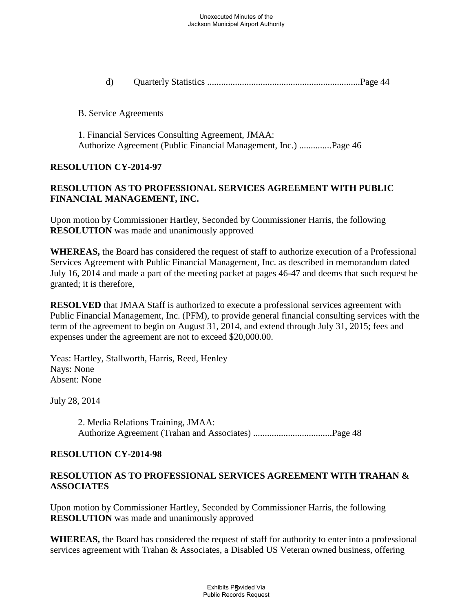d) Quarterly Statistics ..................................................................Page 44

B. Service Agreements

1. Financial Services Consulting Agreement, JMAA: Authorize Agreement (Public Financial Management, Inc.) ..............Page 46

#### **RESOLUTION CY-2014-97**

# **RESOLUTION AS TO PROFESSIONAL SERVICES AGREEMENT WITH PUBLIC FINANCIAL MANAGEMENT, INC.**

Upon motion by Commissioner Hartley, Seconded by Commissioner Harris, the following **RESOLUTION** was made and unanimously approved

**WHEREAS,** the Board has considered the request of staff to authorize execution of a Professional Services Agreement with Public Financial Management, Inc. as described in memorandum dated July 16, 2014 and made a part of the meeting packet at pages 46-47 and deems that such request be granted; it is therefore,

**RESOLVED** that JMAA Staff is authorized to execute a professional services agreement with Public Financial Management, Inc. (PFM), to provide general financial consulting services with the term of the agreement to begin on August 31, 2014, and extend through July 31, 2015; fees and expenses under the agreement are not to exceed \$20,000.00.

Yeas: Hartley, Stallworth, Harris, Reed, Henley Nays: None Absent: None

July 28, 2014

2. Media Relations Training, JMAA: Authorize Agreement (Trahan and Associates) ..................................Page 48

#### **RESOLUTION CY-2014-98**

### **RESOLUTION AS TO PROFESSIONAL SERVICES AGREEMENT WITH TRAHAN & ASSOCIATES**

Upon motion by Commissioner Hartley, Seconded by Commissioner Harris, the following **RESOLUTION** was made and unanimously approved

**WHEREAS,** the Board has considered the request of staff for authority to enter into a professional services agreement with Trahan & Associates, a Disabled US Veteran owned business, offering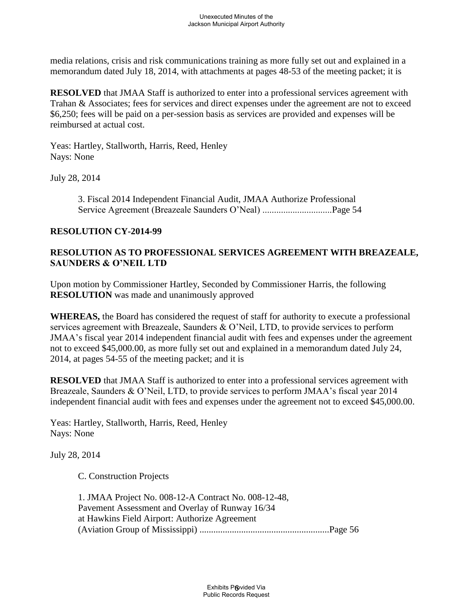media relations, crisis and risk communications training as more fully set out and explained in a memorandum dated July 18, 2014, with attachments at pages 48-53 of the meeting packet; it is

**RESOLVED** that JMAA Staff is authorized to enter into a professional services agreement with Trahan & Associates; fees for services and direct expenses under the agreement are not to exceed \$6,250; fees will be paid on a per-session basis as services are provided and expenses will be reimbursed at actual cost.

Yeas: Hartley, Stallworth, Harris, Reed, Henley Nays: None

July 28, 2014

3. Fiscal 2014 Independent Financial Audit, JMAA Authorize Professional Service Agreement (Breazeale Saunders O'Neal) ..............................Page 54

#### **RESOLUTION CY-2014-99**

### **RESOLUTION AS TO PROFESSIONAL SERVICES AGREEMENT WITH BREAZEALE, SAUNDERS & O'NEIL LTD**

Upon motion by Commissioner Hartley, Seconded by Commissioner Harris, the following **RESOLUTION** was made and unanimously approved

**WHEREAS,** the Board has considered the request of staff for authority to execute a professional services agreement with Breazeale, Saunders & O'Neil, LTD, to provide services to perform JMAA's fiscal year 2014 independent financial audit with fees and expenses under the agreement not to exceed \$45,000.00, as more fully set out and explained in a memorandum dated July 24, 2014, at pages 54-55 of the meeting packet; and it is

**RESOLVED** that JMAA Staff is authorized to enter into a professional services agreement with Breazeale, Saunders & O'Neil, LTD, to provide services to perform JMAA's fiscal year 2014 independent financial audit with fees and expenses under the agreement not to exceed \$45,000.00.

Yeas: Hartley, Stallworth, Harris, Reed, Henley Nays: None

July 28, 2014

C. Construction Projects

1. JMAA Project No. 008-12-A Contract No. 008-12-48, Pavement Assessment and Overlay of Runway 16/34 at Hawkins Field Airport: Authorize Agreement (Aviation Group of Mississippi) ........................................................Page 56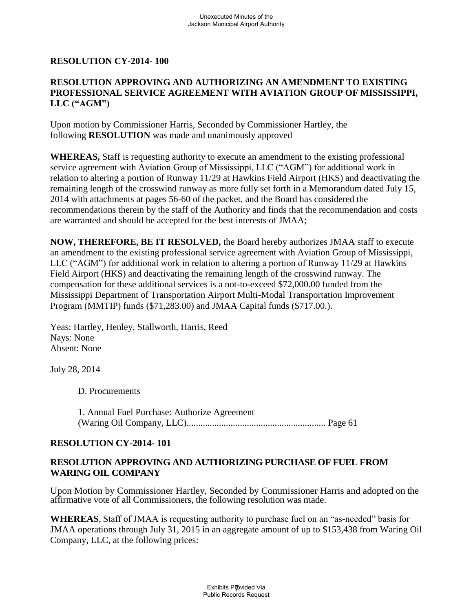#### **RESOLUTION CY-2014- 100**

### **RESOLUTION APPROVING AND AUTHORIZING AN AMENDMENT TO EXISTING PROFESSIONAL SERVICE AGREEMENT WITH AVIATION GROUP OF MISSISSIPPI, LLC ("AGM")**

Upon motion by Commissioner Harris, Seconded by Commissioner Hartley, the following **RESOLUTION** was made and unanimously approved

**WHEREAS,** Staff is requesting authority to execute an amendment to the existing professional service agreement with Aviation Group of Mississippi, LLC ("AGM") for additional work in relation to altering a portion of Runway 11/29 at Hawkins Field Airport (HKS) and deactivating the remaining length of the crosswind runway as more fully set forth in a Memorandum dated July 15, 2014 with attachments at pages 56-60 of the packet, and the Board has considered the recommendations therein by the staff of the Authority and finds that the recommendation and costs are warranted and should be accepted for the best interests of JMAA;

**NOW, THEREFORE, BE IT RESOLVED,** the Board hereby authorizes JMAA staff to execute an amendment to the existing professional service agreement with Aviation Group of Mississippi, LLC ("AGM") for additional work in relation to altering a portion of Runway 11/29 at Hawkins Field Airport (HKS) and deactivating the remaining length of the crosswind runway. The compensation for these additional services is a not-to-exceed \$72,000.00 funded from the Mississippi Department of Transportation Airport Multi-Modal Transportation Improvement Program (MMTIP) funds (\$71,283.00) and JMAA Capital funds (\$717.00.).

Yeas: Hartley, Henley, Stallworth, Harris, Reed Nays: None Absent: None

July 28, 2014

D. Procurements

1. Annual Fuel Purchase: Authorize Agreement (Waring Oil Company, LLC)............................................................ Page 61

### **RESOLUTION CY-2014- 101**

#### **RESOLUTION APPROVING AND AUTHORIZING PURCHASE OF FUEL FROM WARING OIL COMPANY**

Upon Motion by Commissioner Hartley, Seconded by Commissioner Harris and adopted on the affirmative vote of all Commissioners, the following resolution was made.

**WHEREAS**, Staff of JMAA is requesting authority to purchase fuel on an "as-needed" basis for JMAA operations through July 31, 2015 in an aggregate amount of up to \$153,438 from Waring Oil Company, LLC, at the following prices: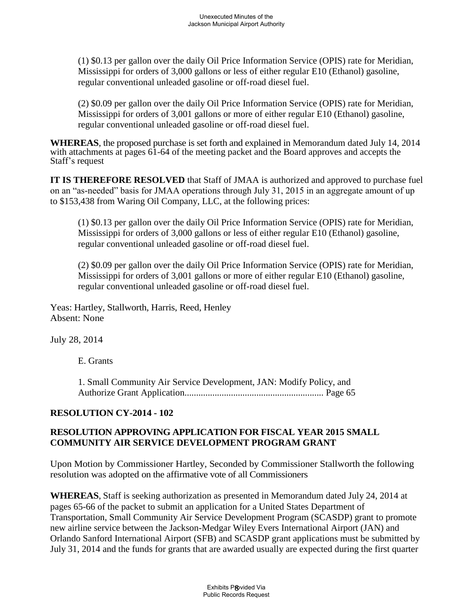(1) \$0.13 per gallon over the daily Oil Price Information Service (OPIS) rate for Meridian, Mississippi for orders of 3,000 gallons or less of either regular E10 (Ethanol) gasoline, regular conventional unleaded gasoline or off-road diesel fuel.

(2) \$0.09 per gallon over the daily Oil Price Information Service (OPIS) rate for Meridian, Mississippi for orders of 3,001 gallons or more of either regular E10 (Ethanol) gasoline, regular conventional unleaded gasoline or off-road diesel fuel.

**WHEREAS**, the proposed purchase is set forth and explained in Memorandum dated July 14, 2014 with attachments at pages 61-64 of the meeting packet and the Board approves and accepts the Staff's request

**IT IS THEREFORE RESOLVED** that Staff of JMAA is authorized and approved to purchase fuel on an "as-needed" basis for JMAA operations through July 31, 2015 in an aggregate amount of up to \$153,438 from Waring Oil Company, LLC, at the following prices:

(1) \$0.13 per gallon over the daily Oil Price Information Service (OPIS) rate for Meridian, Mississippi for orders of 3,000 gallons or less of either regular E10 (Ethanol) gasoline, regular conventional unleaded gasoline or off-road diesel fuel.

(2) \$0.09 per gallon over the daily Oil Price Information Service (OPIS) rate for Meridian, Mississippi for orders of 3,001 gallons or more of either regular E10 (Ethanol) gasoline, regular conventional unleaded gasoline or off-road diesel fuel.

Yeas: Hartley, Stallworth, Harris, Reed, Henley Absent: None

July 28, 2014

E. Grants

1. Small Community Air Service Development, JAN: Modify Policy, and Authorize Grant Application............................................................ Page 65

# **RESOLUTION CY-2014 - 102**

# **RESOLUTION APPROVING APPLICATION FOR FISCAL YEAR 2015 SMALL COMMUNITY AIR SERVICE DEVELOPMENT PROGRAM GRANT**

Upon Motion by Commissioner Hartley, Seconded by Commissioner Stallworth the following resolution was adopted on the affirmative vote of all Commissioners

**WHEREAS**, Staff is seeking authorization as presented in Memorandum dated July 24, 2014 at pages 65-66 of the packet to submit an application for a United States Department of Transportation, Small Community Air Service Development Program (SCASDP) grant to promote new airline service between the Jackson-Medgar Wiley Evers International Airport (JAN) and Orlando Sanford International Airport (SFB) and SCASDP grant applications must be submitted by July 31, 2014 and the funds for grants that are awarded usually are expected during the first quarter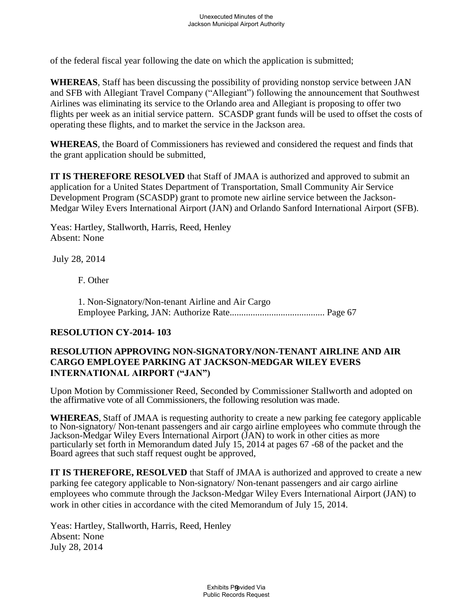of the federal fiscal year following the date on which the application is submitted;

**WHEREAS**, Staff has been discussing the possibility of providing nonstop service between JAN and SFB with Allegiant Travel Company ("Allegiant") following the announcement that Southwest Airlines was eliminating its service to the Orlando area and Allegiant is proposing to offer two flights per week as an initial service pattern. SCASDP grant funds will be used to offset the costs of operating these flights, and to market the service in the Jackson area.

**WHEREAS**, the Board of Commissioners has reviewed and considered the request and finds that the grant application should be submitted,

**IT IS THEREFORE RESOLVED** that Staff of JMAA is authorized and approved to submit an application for a United States Department of Transportation, Small Community Air Service Development Program (SCASDP) grant to promote new airline service between the Jackson-Medgar Wiley Evers International Airport (JAN) and Orlando Sanford International Airport (SFB).

Yeas: Hartley, Stallworth, Harris, Reed, Henley Absent: None

July 28, 2014

F. Other

1. Non-Signatory/Non-tenant Airline and Air Cargo Employee Parking, JAN: Authorize Rate......................................... Page 67

### **RESOLUTION CY-2014- 103**

### **RESOLUTION APPROVING NON-SIGNATORY/NON-TENANT AIRLINE AND AIR CARGO EMPLOYEE PARKING AT JACKSON-MEDGAR WILEY EVERS INTERNATIONAL AIRPORT ("JAN")**

Upon Motion by Commissioner Reed, Seconded by Commissioner Stallworth and adopted on the affirmative vote of all Commissioners, the following resolution was made.

**WHEREAS**, Staff of JMAA is requesting authority to create a new parking fee category applicable to Non-signatory/ Non-tenant passengers and air cargo airline employees who commute through the Jackson-Medgar Wiley Evers International Airport (JAN) to work in other cities as more particularly set forth in Memorandum dated July 15, 2014 at pages 67 -68 of the packet and the Board agrees that such staff request ought be approved,

**IT IS THEREFORE, RESOLVED** that Staff of JMAA is authorized and approved to create a new parking fee category applicable to Non-signatory/ Non-tenant passengers and air cargo airline employees who commute through the Jackson-Medgar Wiley Evers International Airport (JAN) to work in other cities in accordance with the cited Memorandum of July 15, 2014.

Yeas: Hartley, Stallworth, Harris, Reed, Henley Absent: None July 28, 2014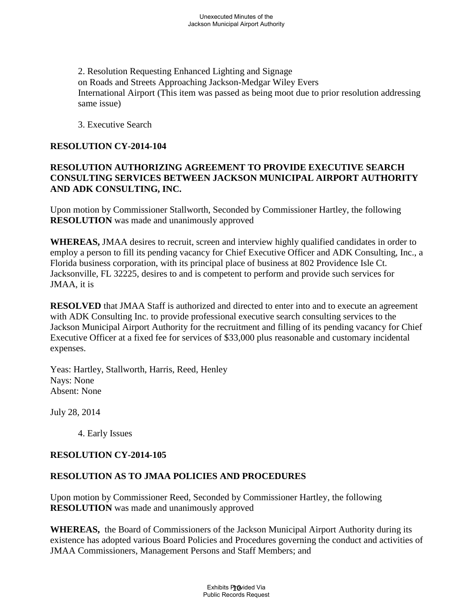2. Resolution Requesting Enhanced Lighting and Signage on Roads and Streets Approaching Jackson-Medgar Wiley Evers International Airport (This item was passed as being moot due to prior resolution addressing same issue)

3. Executive Search

# **RESOLUTION CY-2014-104**

# **RESOLUTION AUTHORIZING AGREEMENT TO PROVIDE EXECUTIVE SEARCH CONSULTING SERVICES BETWEEN JACKSON MUNICIPAL AIRPORT AUTHORITY AND ADK CONSULTING, INC.**

Upon motion by Commissioner Stallworth, Seconded by Commissioner Hartley, the following **RESOLUTION** was made and unanimously approved

**WHEREAS,** JMAA desires to recruit, screen and interview highly qualified candidates in order to employ a person to fill its pending vacancy for Chief Executive Officer and ADK Consulting, Inc., a Florida business corporation, with its principal place of business at 802 Providence Isle Ct. Jacksonville, FL 32225, desires to and is competent to perform and provide such services for JMAA, it is

**RESOLVED** that JMAA Staff is authorized and directed to enter into and to execute an agreement with ADK Consulting Inc. to provide professional executive search consulting services to the Jackson Municipal Airport Authority for the recruitment and filling of its pending vacancy for Chief Executive Officer at a fixed fee for services of \$33,000 plus reasonable and customary incidental expenses.

Yeas: Hartley, Stallworth, Harris, Reed, Henley Nays: None Absent: None

July 28, 2014

4. Early Issues

### **RESOLUTION CY-2014-105**

# **RESOLUTION AS TO JMAA POLICIES AND PROCEDURES**

Upon motion by Commissioner Reed, Seconded by Commissioner Hartley, the following **RESOLUTION** was made and unanimously approved

**WHEREAS,** the Board of Commissioners of the Jackson Municipal Airport Authority during its existence has adopted various Board Policies and Procedures governing the conduct and activities of JMAA Commissioners, Management Persons and Staff Members; and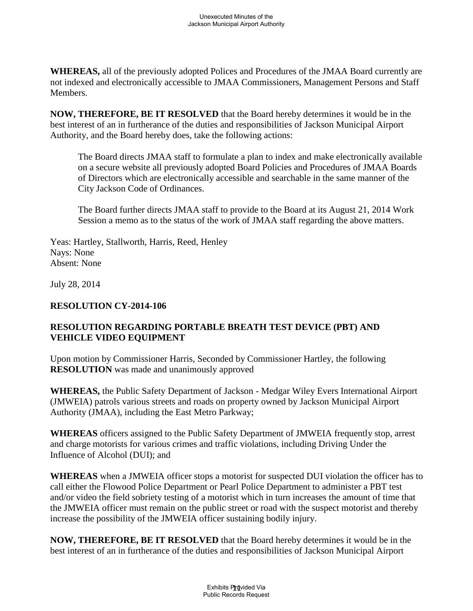**WHEREAS,** all of the previously adopted Polices and Procedures of the JMAA Board currently are not indexed and electronically accessible to JMAA Commissioners, Management Persons and Staff Members.

**NOW, THEREFORE, BE IT RESOLVED** that the Board hereby determines it would be in the best interest of an in furtherance of the duties and responsibilities of Jackson Municipal Airport Authority, and the Board hereby does, take the following actions:

The Board directs JMAA staff to formulate a plan to index and make electronically available on a secure website all previously adopted Board Policies and Procedures of JMAA Boards of Directors which are electronically accessible and searchable in the same manner of the City Jackson Code of Ordinances.

The Board further directs JMAA staff to provide to the Board at its August 21, 2014 Work Session a memo as to the status of the work of JMAA staff regarding the above matters.

Yeas: Hartley, Stallworth, Harris, Reed, Henley Nays: None Absent: None

July 28, 2014

### **RESOLUTION CY-2014-106**

# **RESOLUTION REGARDING PORTABLE BREATH TEST DEVICE (PBT) AND VEHICLE VIDEO EQUIPMENT**

Upon motion by Commissioner Harris, Seconded by Commissioner Hartley, the following **RESOLUTION** was made and unanimously approved

**WHEREAS,** the Public Safety Department of Jackson - Medgar Wiley Evers International Airport (JMWEIA) patrols various streets and roads on property owned by Jackson Municipal Airport Authority (JMAA), including the East Metro Parkway;

**WHEREAS** officers assigned to the Public Safety Department of JMWEIA frequently stop, arrest and charge motorists for various crimes and traffic violations, including Driving Under the Influence of Alcohol (DUI); and

**WHEREAS** when a JMWEIA officer stops a motorist for suspected DUI violation the officer has to call either the Flowood Police Department or Pearl Police Department to administer a PBT test and/or video the field sobriety testing of a motorist which in turn increases the amount of time that the JMWEIA officer must remain on the public street or road with the suspect motorist and thereby increase the possibility of the JMWEIA officer sustaining bodily injury.

**NOW, THEREFORE, BE IT RESOLVED** that the Board hereby determines it would be in the best interest of an in furtherance of the duties and responsibilities of Jackson Municipal Airport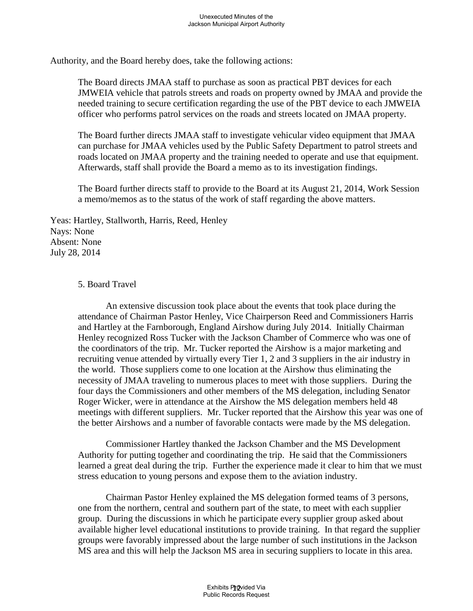Authority, and the Board hereby does, take the following actions:

The Board directs JMAA staff to purchase as soon as practical PBT devices for each JMWEIA vehicle that patrols streets and roads on property owned by JMAA and provide the needed training to secure certification regarding the use of the PBT device to each JMWEIA officer who performs patrol services on the roads and streets located on JMAA property.

The Board further directs JMAA staff to investigate vehicular video equipment that JMAA can purchase for JMAA vehicles used by the Public Safety Department to patrol streets and roads located on JMAA property and the training needed to operate and use that equipment. Afterwards, staff shall provide the Board a memo as to its investigation findings.

The Board further directs staff to provide to the Board at its August 21, 2014, Work Session a memo/memos as to the status of the work of staff regarding the above matters.

Yeas: Hartley, Stallworth, Harris, Reed, Henley Nays: None Absent: None July 28, 2014

#### 5. Board Travel

An extensive discussion took place about the events that took place during the attendance of Chairman Pastor Henley, Vice Chairperson Reed and Commissioners Harris and Hartley at the Farnborough, England Airshow during July 2014. Initially Chairman Henley recognized Ross Tucker with the Jackson Chamber of Commerce who was one of the coordinators of the trip. Mr. Tucker reported the Airshow is a major marketing and recruiting venue attended by virtually every Tier 1, 2 and 3 suppliers in the air industry in the world. Those suppliers come to one location at the Airshow thus eliminating the necessity of JMAA traveling to numerous places to meet with those suppliers. During the four days the Commissioners and other members of the MS delegation, including Senator Roger Wicker, were in attendance at the Airshow the MS delegation members held 48 meetings with different suppliers. Mr. Tucker reported that the Airshow this year was one of the better Airshows and a number of favorable contacts were made by the MS delegation.

Commissioner Hartley thanked the Jackson Chamber and the MS Development Authority for putting together and coordinating the trip. He said that the Commissioners learned a great deal during the trip. Further the experience made it clear to him that we must stress education to young persons and expose them to the aviation industry.

Chairman Pastor Henley explained the MS delegation formed teams of 3 persons, one from the northern, central and southern part of the state, to meet with each supplier group. During the discussions in which he participate every supplier group asked about available higher level educational institutions to provide training. In that regard the supplier groups were favorably impressed about the large number of such institutions in the Jackson MS area and this will help the Jackson MS area in securing suppliers to locate in this area.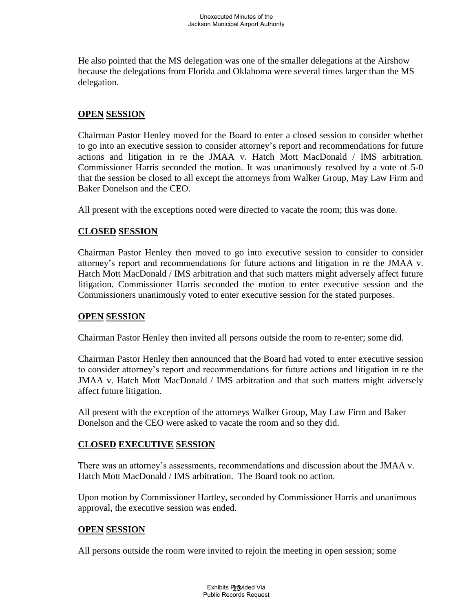He also pointed that the MS delegation was one of the smaller delegations at the Airshow because the delegations from Florida and Oklahoma were several times larger than the MS delegation.

### **OPEN SESSION**

Chairman Pastor Henley moved for the Board to enter a closed session to consider whether to go into an executive session to consider attorney's report and recommendations for future actions and litigation in re the JMAA v. Hatch Mott MacDonald / IMS arbitration. Commissioner Harris seconded the motion. It was unanimously resolved by a vote of 5-0 that the session be closed to all except the attorneys from Walker Group, May Law Firm and Baker Donelson and the CEO.

All present with the exceptions noted were directed to vacate the room; this was done.

# **CLOSED SESSION**

Chairman Pastor Henley then moved to go into executive session to consider to consider attorney's report and recommendations for future actions and litigation in re the JMAA v. Hatch Mott MacDonald / IMS arbitration and that such matters might adversely affect future litigation. Commissioner Harris seconded the motion to enter executive session and the Commissioners unanimously voted to enter executive session for the stated purposes.

### **OPEN SESSION**

Chairman Pastor Henley then invited all persons outside the room to re-enter; some did.

Chairman Pastor Henley then announced that the Board had voted to enter executive session to consider attorney's report and recommendations for future actions and litigation in re the JMAA v. Hatch Mott MacDonald / IMS arbitration and that such matters might adversely affect future litigation.

All present with the exception of the attorneys Walker Group, May Law Firm and Baker Donelson and the CEO were asked to vacate the room and so they did.

### **CLOSED EXECUTIVE SESSION**

There was an attorney's assessments, recommendations and discussion about the JMAA v. Hatch Mott MacDonald / IMS arbitration. The Board took no action.

Upon motion by Commissioner Hartley, seconded by Commissioner Harris and unanimous approval, the executive session was ended.

### **OPEN SESSION**

All persons outside the room were invited to rejoin the meeting in open session; some